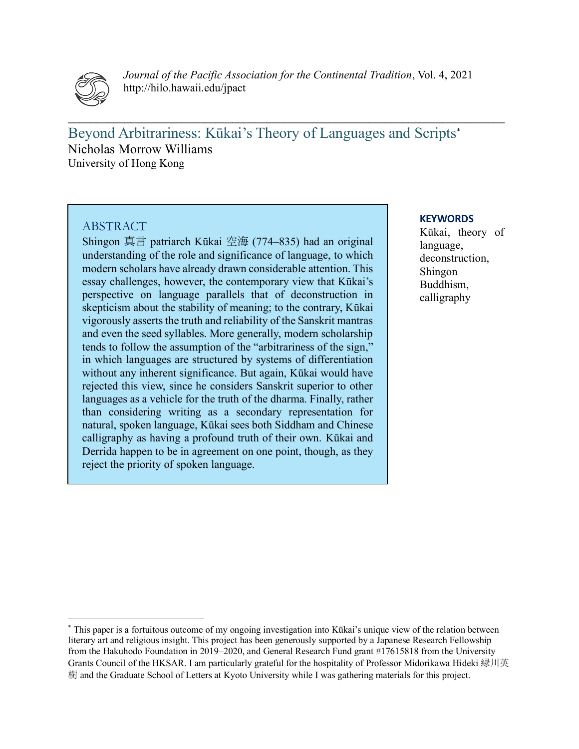

*Journal of the Pacific Association for the Continental Tradition*, Vol. 4, 2021 http://hilo.hawaii.edu/jpact

 $\mathcal{L}_\mathcal{L} = \mathcal{L}_\mathcal{L} = \mathcal{L}_\mathcal{L} = \mathcal{L}_\mathcal{L} = \mathcal{L}_\mathcal{L} = \mathcal{L}_\mathcal{L} = \mathcal{L}_\mathcal{L} = \mathcal{L}_\mathcal{L} = \mathcal{L}_\mathcal{L} = \mathcal{L}_\mathcal{L} = \mathcal{L}_\mathcal{L} = \mathcal{L}_\mathcal{L} = \mathcal{L}_\mathcal{L} = \mathcal{L}_\mathcal{L} = \mathcal{L}_\mathcal{L} = \mathcal{L}_\mathcal{L} = \mathcal{L}_\mathcal{L}$ 

Beyond Arbitrariness: Kūkai's Theory of Languages and Scripts\* Nicholas Morrow Williams University of Hong Kong

## ABSTRACT

Shingon 真言 patriarch Kūkai 空海 (774–835) had an original understanding of the role and significance of language, to which modern scholars have already drawn considerable attention. This essay challenges, however, the contemporary view that Kūkai's perspective on language parallels that of deconstruction in skepticism about the stability of meaning; to the contrary, Kūkai vigorously asserts the truth and reliability of the Sanskrit mantras and even the seed syllables. More generally, modern scholarship tends to follow the assumption of the "arbitrariness of the sign," in which languages are structured by systems of differentiation without any inherent significance. But again, Kūkai would have rejected this view, since he considers Sanskrit superior to other languages as a vehicle for the truth of the dharma. Finally, rather than considering writing as a secondary representation for natural, spoken language, Kūkai sees both Siddham and Chinese calligraphy as having a profound truth of their own. Kūkai and Derrida happen to be in agreement on one point, though, as they reject the priority of spoken language.

#### **KEYWORDS**

Kūkai, theory of language, deconstruction, Shingon Buddhism, calligraphy

<sup>\*</sup> This paper is a fortuitous outcome of my ongoing investigation into Kūkai's unique view of the relation between literary art and religious insight. This project has been generously supported by a Japanese Research Fellowship from the Hakuhodo Foundation in 2019–2020, and General Research Fund grant #17615818 from the University Grants Council of the HKSAR. I am particularly grateful for the hospitality of Professor Midorikawa Hideki 緑川英 樹 and the Graduate School of Letters at Kyoto University while I was gathering materials for this project.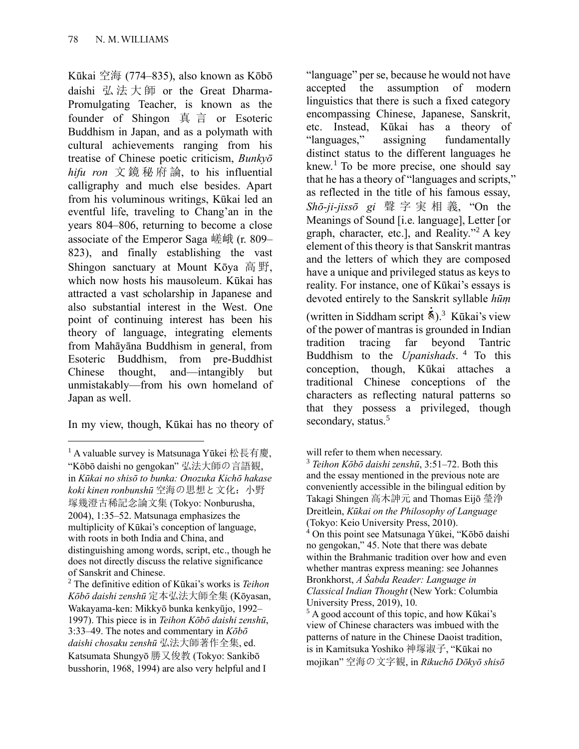Kūkai 空海 (774–835), also known as Kōbō daishi 弘法大師 or the Great Dharma-Promulgating Teacher, is known as the founder of Shingon 真 言 or Esoteric Buddhism in Japan, and as a polymath with cultural achievements ranging from his treatise of Chinese poetic criticism, *Bunkyō hifu ron* 文鏡秘府論, to his influential calligraphy and much else besides. Apart from his voluminous writings, Kūkai led an eventful life, traveling to Chang'an in the years 804–806, returning to become a close associate of the Emperor Saga 嵯峨 (r. 809– 823), and finally establishing the vast Shingon sanctuary at Mount Kōya 高 野, which now hosts his mausoleum. Kūkai has attracted a vast scholarship in Japanese and also substantial interest in the West. One point of continuing interest has been his theory of language, integrating elements from Mahāyāna Buddhism in general, from Esoteric Buddhism, from pre-Buddhist Chinese thought, and—intangibly but unmistakably—from his own homeland of Japan as well.

In my view, though, Kūkai has no theory of

"language" per se, because he would not have accepted the assumption of modern linguistics that there is such a fixed category encompassing Chinese, Japanese, Sanskrit, etc. Instead, Kūkai has a theory of "languages," assigning fundamentally distinct status to the different languages he knew.<sup>1</sup> To be more precise, one should say that he has a theory of "languages and scripts," as reflected in the title of his famous essay, *Shō-ji-jissō gi* 聲 字実相義, "On the Meanings of Sound [i.e. language], Letter [or graph, character, etc.], and Reality."<sup>2</sup> A key element of this theory is that Sanskrit mantras and the letters of which they are composed have a unique and privileged status as keys to reality. For instance, one of Kūkai's essays is devoted entirely to the Sanskrit syllable *hūṃ*

(written in Siddham script  $\mathbf{\&}$ ).<sup>3</sup> Kūkai's view of the power of mantras is grounded in Indian tradition tracing far beyond Tantric Buddhism to the *Upanishads*. 4 To this conception, though, Kūkai attaches a traditional Chinese conceptions of the characters as reflecting natural patterns so that they possess a privileged, though secondary, status.<sup>5</sup>

<sup>4</sup> On this point see Matsunaga Yūkei, "Kōbō daishi no gengokan," 45. Note that there was debate within the Brahmanic tradition over how and even whether mantras express meaning: see Johannes Bronkhorst, *A Śabda Reader: Language in Classical Indian Thought* (New York: Columbia University Press, 2019), 10.

 $<sup>5</sup>$  A good account of this topic, and how Kūkai's</sup> view of Chinese characters was imbued with the patterns of nature in the Chinese Daoist tradition, is in Kamitsuka Yoshiko 神塚淑子, "Kūkai no mojikan" 空海の文字観, in *Rikuchō Dōkyō shisō* 

 $1$  A valuable survey is Matsunaga Yūkei 松長有慶, "Kōbō daishi no gengokan" 弘法大師の言語観, in *Kūkai no shisō to bunka: Onozuka Kichō hakase koki kinen ronbunshū* 空海の思想と文化:小野 塚幾澄古稀記念論文集 (Tokyo: Nonburusha, 2004), 1:35–52. Matsunaga emphasizes the multiplicity of Kūkai's conception of language, with roots in both India and China, and distinguishing among words, script, etc., though he does not directly discuss the relative significance of Sanskrit and Chinese.

<sup>2</sup> The definitive edition of Kūkai's works is *Teihon Kōbō daishi zenshū* 定本弘法大師全集 (Kōyasan, Wakayama-ken: Mikkyō bunka kenkyūjo, 1992– 1997). This piece is in *Teihon Kōbō daishi zenshū*, 3:33–49. The notes and commentary in *Kōbō daishi chosaku zenshū* 弘法大師著作全集, ed. Katsumata Shungyō 勝又俊教 (Tokyo: Sankibō busshorin, 1968, 1994) are also very helpful and I

will refer to them when necessary.

<sup>3</sup> *Teihon Kōbō daishi zenshū*, 3:51–72. Both this and the essay mentioned in the previous note are conveniently accessible in the bilingual edition by Takagi Shingen 高木訷元 and Thomas Eijō 瑩浄 Dreitlein, *Kūkai on the Philosophy of Language* (Tokyo: Keio University Press, 2010).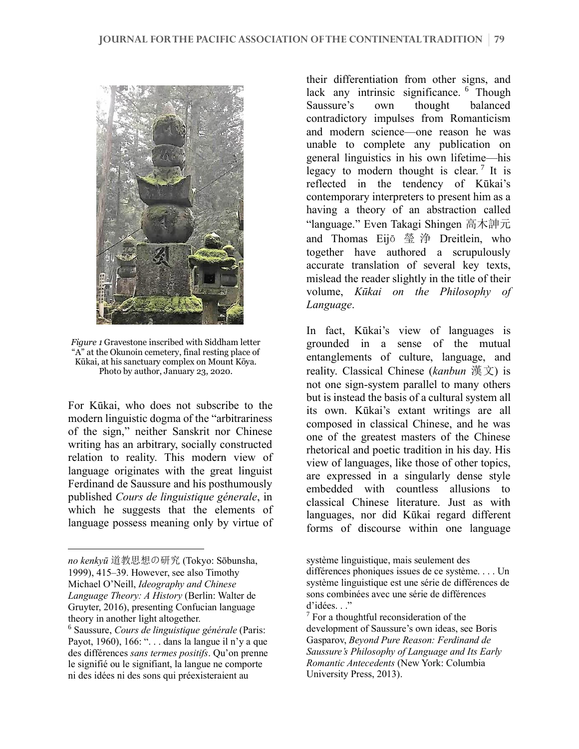

*Figure 1* Gravestone inscribed with Siddham letter "A" at the Okunoin cemetery, final resting place of Kūkai, at his sanctuary complex on Mount Kōya. Photo by author, January 23, 2020.

For Kūkai, who does not subscribe to the modern linguistic dogma of the "arbitrariness of the sign," neither Sanskrit nor Chinese writing has an arbitrary, socially constructed relation to reality. This modern view of language originates with the great linguist Ferdinand de Saussure and his posthumously published *Cours de linguistique génerale*, in which he suggests that the elements of language possess meaning only by virtue of their differentiation from other signs, and lack any intrinsic significance. <sup>6</sup> Though Saussure's own thought balanced contradictory impulses from Romanticism and modern science––one reason he was unable to complete any publication on general linguistics in his own lifetime––his legacy to modern thought is clear.<sup>7</sup> It is reflected in the tendency of Kūkai's contemporary interpreters to present him as a having a theory of an abstraction called "language." Even Takagi Shingen 高木訷元 and Thomas Eijō 瑩 浄 Dreitlein, who together have authored a scrupulously accurate translation of several key texts, mislead the reader slightly in the title of their volume, *Kūkai on the Philosophy of Language*.

In fact, Kūkai's view of languages is grounded in a sense of the mutual entanglements of culture, language, and reality. Classical Chinese (*kanbun* 漢文) is not one sign-system parallel to many others but is instead the basis of a cultural system all its own. Kūkai's extant writings are all composed in classical Chinese, and he was one of the greatest masters of the Chinese rhetorical and poetic tradition in his day. His view of languages, like those of other topics, are expressed in a singularly dense style embedded with countless allusions to classical Chinese literature. Just as with languages, nor did Kūkai regard different forms of discourse within one language

*no kenkyū* 道教思想の研究 (Tokyo: Sōbunsha, 1999), 415–39. However, see also Timothy Michael O'Neill, *Ideography and Chinese Language Theory: A History* (Berlin: Walter de Gruyter, 2016), presenting Confucian language theory in another light altogether.

<sup>6</sup> Saussure, *Cours de linguistique générale* (Paris: Payot, 1960), 166: "... dans la langue il n'y a que des différences *sans termes positifs*. Qu'on prenne le signifié ou le signifiant, la langue ne comporte ni des idées ni des sons qui préexisteraient au

système linguistique, mais seulement des différences phoniques issues de ce système. . . . Un système linguistique est une série de différences de sons combinées avec une série de différences d'idées. . ."

 $<sup>7</sup>$  For a thoughtful reconsideration of the</sup> development of Saussure's own ideas, see Boris Gasparov, *Beyond Pure Reason: Ferdinand de Saussure's Philosophy of Language and Its Early Romantic Antecedents* (New York: Columbia University Press, 2013).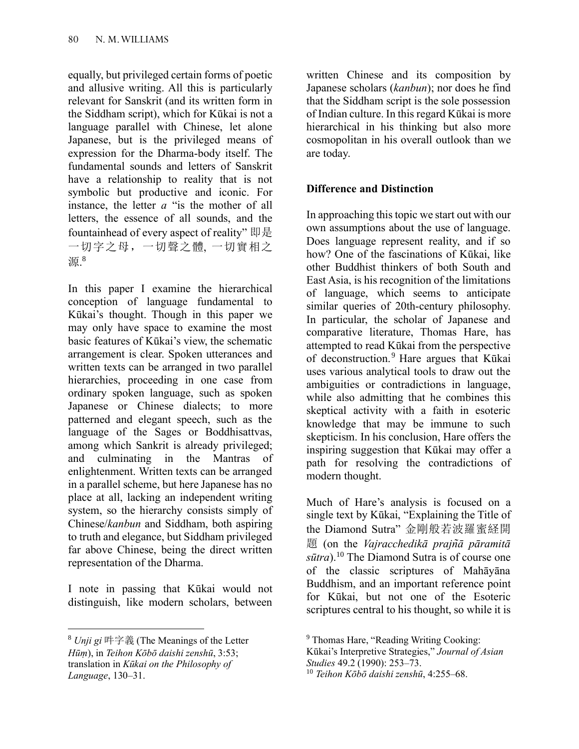equally, but privileged certain forms of poetic and allusive writing. All this is particularly relevant for Sanskrit (and its written form in the Siddham script), which for Kūkai is not a language parallel with Chinese, let alone Japanese, but is the privileged means of expression for the Dharma-body itself. The fundamental sounds and letters of Sanskrit have a relationship to reality that is not symbolic but productive and iconic. For instance, the letter *a* "is the mother of all letters, the essence of all sounds, and the fountainhead of every aspect of reality" 即是 一切字之母,一切聲之體, 一切實相之 源. 8

In this paper I examine the hierarchical conception of language fundamental to Kūkai's thought. Though in this paper we may only have space to examine the most basic features of Kūkai's view, the schematic arrangement is clear. Spoken utterances and written texts can be arranged in two parallel hierarchies, proceeding in one case from ordinary spoken language, such as spoken Japanese or Chinese dialects; to more patterned and elegant speech, such as the language of the Sages or Boddhisattvas, among which Sankrit is already privileged; and culminating in the Mantras of enlightenment. Written texts can be arranged in a parallel scheme, but here Japanese has no place at all, lacking an independent writing system, so the hierarchy consists simply of Chinese/*kanbun* and Siddham, both aspiring to truth and elegance, but Siddham privileged far above Chinese, being the direct written representation of the Dharma.

I note in passing that Kūkai would not distinguish, like modern scholars, between

written Chinese and its composition by Japanese scholars (*kanbun*); nor does he find that the Siddham script is the sole possession of Indian culture. In this regard Kūkai is more hierarchical in his thinking but also more cosmopolitan in his overall outlook than we are today.

# **Difference and Distinction**

In approaching this topic we start out with our own assumptions about the use of language. Does language represent reality, and if so how? One of the fascinations of Kūkai, like other Buddhist thinkers of both South and East Asia, is his recognition of the limitations of language, which seems to anticipate similar queries of 20th-century philosophy. In particular, the scholar of Japanese and comparative literature, Thomas Hare, has attempted to read Kūkai from the perspective of deconstruction.<sup>9</sup> Hare argues that Kūkai uses various analytical tools to draw out the ambiguities or contradictions in language, while also admitting that he combines this skeptical activity with a faith in esoteric knowledge that may be immune to such skepticism. In his conclusion, Hare offers the inspiring suggestion that Kūkai may offer a path for resolving the contradictions of modern thought.

Much of Hare's analysis is focused on a single text by Kūkai, "Explaining the Title of the Diamond Sutra" 金剛般若波羅蜜経開 題 (on the *Vajracchedikā prajn͂ā pāramitā sūtra*).<sup>10</sup> The Diamond Sutra is of course one of the classic scriptures of Mahāyāna Buddhism, and an important reference point for Kūkai, but not one of the Esoteric scriptures central to his thought, so while it is

<sup>8</sup> *Unji gi* 吽字義 (The Meanings of the Letter *Hūṃ*), in *Teihon Kōbō daishi zenshū*, 3:53; translation in *Kūkai on the Philosophy of Language*, 130–31.

<sup>&</sup>lt;sup>9</sup> Thomas Hare, "Reading Writing Cooking:

Kūkai's Interpretive Strategies," *Journal of Asian Studies* 49.2 (1990): 253–73.

<sup>10</sup> *Teihon Kōbō daishi zenshū*, 4:255–68.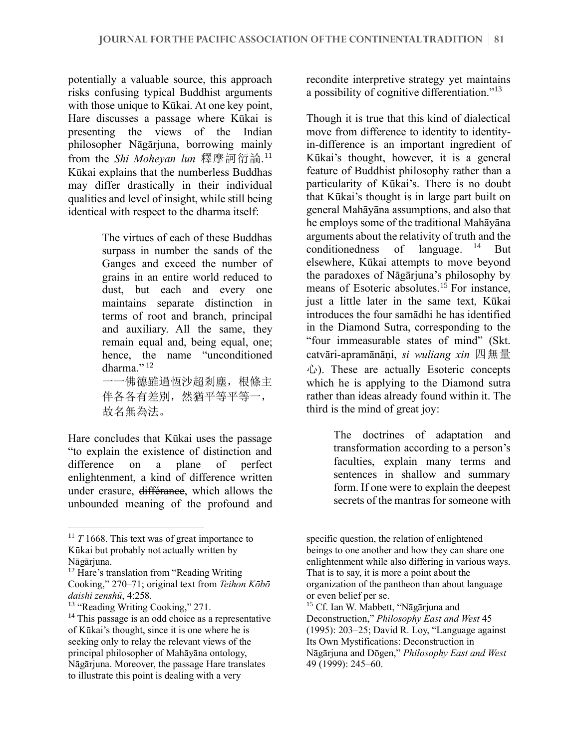potentially a valuable source, this approach risks confusing typical Buddhist arguments with those unique to Kūkai. At one key point, Hare discusses a passage where Kūkai is presenting the views of the Indian philosopher Nāgārjuna, borrowing mainly from the *Shi Moheyan lun* 釋摩訶衍論. 11 Kūkai explains that the numberless Buddhas may differ drastically in their individual qualities and level of insight, while still being identical with respect to the dharma itself:

> The virtues of each of these Buddhas surpass in number the sands of the Ganges and exceed the number of grains in an entire world reduced to dust, but each and every one maintains separate distinction in terms of root and branch, principal and auxiliary. All the same, they remain equal and, being equal, one; hence, the name "unconditioned dharma." $^{12}$

一一佛德雖過恆沙超剎塵,根條主 伴各各有差別,然猶平等平等一, 故名無為法。

Hare concludes that Kūkai uses the passage "to explain the existence of distinction and difference on a plane of perfect enlightenment, a kind of difference written under erasure, différance, which allows the unbounded meaning of the profound and recondite interpretive strategy yet maintains a possibility of cognitive differentiation."<sup>13</sup>

Though it is true that this kind of dialectical move from difference to identity to identityin-difference is an important ingredient of Kūkai's thought, however, it is a general feature of Buddhist philosophy rather than a particularity of Kūkai's. There is no doubt that Kūkai's thought is in large part built on general Mahāyāna assumptions, and also that he employs some of the traditional Mahāyāna arguments about the relativity of truth and the conditionedness of language.  $14$  But elsewhere, Kūkai attempts to move beyond the paradoxes of Nāgārjuna's philosophy by means of Esoteric absolutes.<sup>15</sup> For instance, just a little later in the same text, Kūkai introduces the four samādhi he has identified in the Diamond Sutra, corresponding to the "four immeasurable states of mind" (Skt. catvāri-apramānāṇi, *si wuliang xin* 四無量 心). These are actually Esoteric concepts which he is applying to the Diamond sutra rather than ideas already found within it. The third is the mind of great joy:

> The doctrines of adaptation and transformation according to a person's faculties, explain many terms and sentences in shallow and summary form. If one were to explain the deepest secrets of the mantras for someone with

 $11$  *T* 1668. This text was of great importance to Kūkai but probably not actually written by Nāgārjuna.

<sup>&</sup>lt;sup>12</sup> Hare's translation from "Reading Writing" Cooking," 270–71; original text from *Teihon Kōbō daishi zenshū*, 4:258.

<sup>&</sup>lt;sup>13</sup> "Reading Writing Cooking," 271.

<sup>&</sup>lt;sup>14</sup> This passage is an odd choice as a representative of Kūkai's thought, since it is one where he is seeking only to relay the relevant views of the principal philosopher of Mahāyāna ontology, Nāgārjuna. Moreover, the passage Hare translates to illustrate this point is dealing with a very

specific question, the relation of enlightened beings to one another and how they can share one enlightenment while also differing in various ways. That is to say, it is more a point about the organization of the pantheon than about language or even belief per se.

<sup>&</sup>lt;sup>15</sup> Cf. Ian W. Mabbett, "Nāgārjuna and Deconstruction," *Philosophy East and West* 45 (1995): 203–25; David R. Loy, "Language against Its Own Mystifications: Deconstruction in Nāgārjuna and Dōgen," *Philosophy East and West*  49 (1999): 245–60.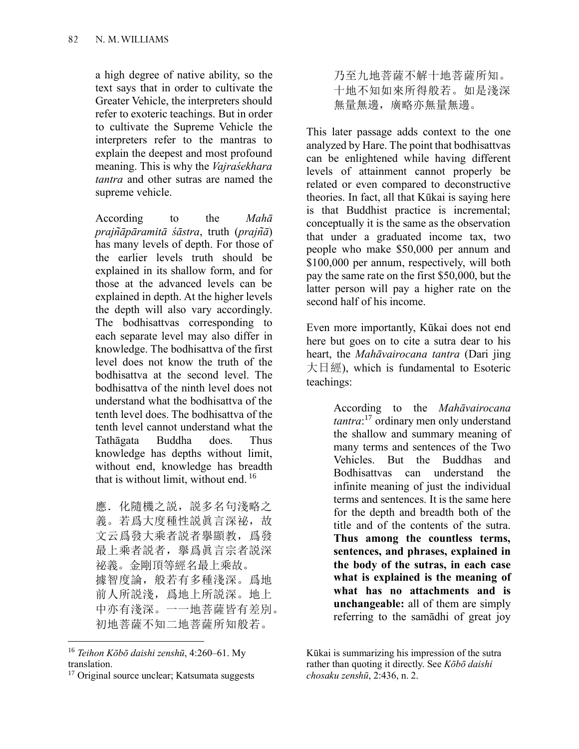a high degree of native ability, so the text says that in order to cultivate the Greater Vehicle, the interpreters should refer to exoteric teachings. But in order to cultivate the Supreme Vehicle the interpreters refer to the mantras to explain the deepest and most profound meaning. This is why the *Vajraśekhara tantra* and other sutras are named the supreme vehicle.

According to the *Mahā prajn͂āpāramitā śāstra*, truth (*prajn͂ā*) has many levels of depth. For those of the earlier levels truth should be explained in its shallow form, and for those at the advanced levels can be explained in depth. At the higher levels the depth will also vary accordingly. The bodhisattvas corresponding to each separate level may also differ in knowledge. The bodhisattva of the first level does not know the truth of the bodhisattva at the second level. The bodhisattva of the ninth level does not understand what the bodhisattva of the tenth level does. The bodhisattva of the tenth level cannot understand what the Tathāgata Buddha does. Thus knowledge has depths without limit, without end, knowledge has breadth that is without limit, without end. 16

應. 化隨機之説, 説多名句淺略之 義。若爲大度種性説眞言深祕,故 文云爲發大乘者説者擧顯教,爲發 最上乘者説者,擧爲眞言宗者説深 祕義。金剛頂等經名最上乘故。 據智度論,般若有多種淺深。爲地 前人所説淺,爲地上所説深。地上 中亦有淺深。一一地菩薩皆有差別。 初地菩薩不知二地菩薩所知般若。

乃至九地菩薩不解十地菩薩所知。 十地不知如來所得般若。如是淺深 無量無邊,廣略亦無量無邊。

This later passage adds context to the one analyzed by Hare. The point that bodhisattvas can be enlightened while having different levels of attainment cannot properly be related or even compared to deconstructive theories. In fact, all that Kūkai is saying here is that Buddhist practice is incremental; conceptually it is the same as the observation that under a graduated income tax, two people who make \$50,000 per annum and \$100,000 per annum, respectively, will both pay the same rate on the first \$50,000, but the latter person will pay a higher rate on the second half of his income.

Even more importantly, Kūkai does not end here but goes on to cite a sutra dear to his heart, the *Mahāvairocana tantra* (Dari jing 大日經), which is fundamental to Esoteric teachings:

> According to the *Mahāvairocana tantra*: <sup>17</sup> ordinary men only understand the shallow and summary meaning of many terms and sentences of the Two Vehicles. But the Buddhas and Bodhisattvas can understand the infinite meaning of just the individual terms and sentences. It is the same here for the depth and breadth both of the title and of the contents of the sutra. **Thus among the countless terms, sentences, and phrases, explained in the body of the sutras, in each case what is explained is the meaning of what has no attachments and is unchangeable:** all of them are simply referring to the samādhi of great joy

<sup>16</sup> *Teihon Kōbō daishi zenshū*, 4:260–61. My translation.

<sup>&</sup>lt;sup>17</sup> Original source unclear; Katsumata suggests

Kūkai is summarizing his impression of the sutra rather than quoting it directly. See *Kōbō daishi chosaku zenshū*, 2:436, n. 2.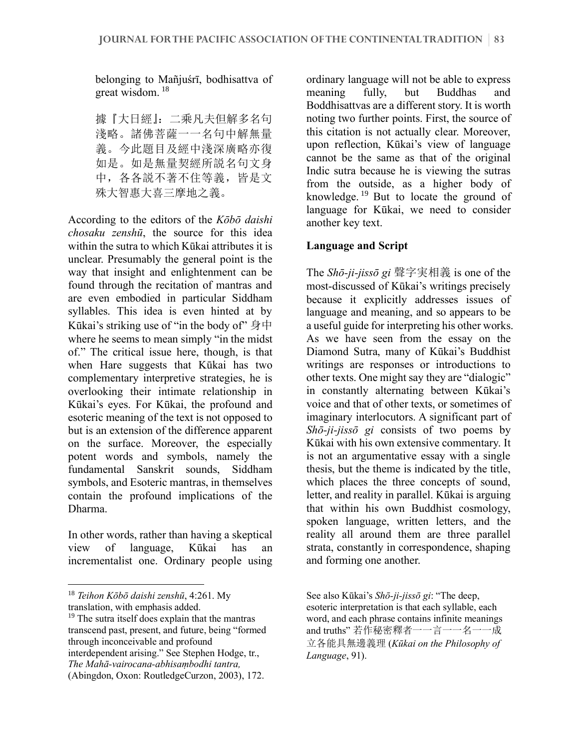belonging to Mañjuśrī, bodhisattva of great wisdom. <sup>18</sup>

據『大日經』:二乘凡夫但解多名句 淺略。諸佛菩薩一一名句中解無量 義。今此題目及經中淺深廣略亦復 如是。如是無量契經所説名句文身 中,各各説不著不住等義,皆是文 殊大智惠大喜三摩地之義。

According to the editors of the *Kōbō daishi chosaku zenshū*, the source for this idea within the sutra to which Kūkai attributes it is unclear. Presumably the general point is the way that insight and enlightenment can be found through the recitation of mantras and are even embodied in particular Siddham syllables. This idea is even hinted at by Kūkai's striking use of "in the body of" 身中 where he seems to mean simply "in the midst" of." The critical issue here, though, is that when Hare suggests that Kūkai has two complementary interpretive strategies, he is overlooking their intimate relationship in Kūkai's eyes. For Kūkai, the profound and esoteric meaning of the text is not opposed to but is an extension of the difference apparent on the surface. Moreover, the especially potent words and symbols, namely the fundamental Sanskrit sounds, Siddham symbols, and Esoteric mantras, in themselves contain the profound implications of the Dharma.

In other words, rather than having a skeptical view of language, Kūkai has an incrementalist one. Ordinary people using

ordinary language will not be able to express meaning fully, but Buddhas and Boddhisattvas are a different story. It is worth noting two further points. First, the source of this citation is not actually clear. Moreover, upon reflection, Kūkai's view of language cannot be the same as that of the original Indic sutra because he is viewing the sutras from the outside, as a higher body of knowledge.<sup>19</sup> But to locate the ground of language for Kūkai, we need to consider another key text.

# **Language and Script**

The *Shō-ji-jissō gi* 聲字実相義 is one of the most-discussed of Kūkai's writings precisely because it explicitly addresses issues of language and meaning, and so appears to be a useful guide for interpreting his other works. As we have seen from the essay on the Diamond Sutra, many of Kūkai's Buddhist writings are responses or introductions to other texts. One might say they are "dialogic" in constantly alternating between Kūkai's voice and that of other texts, or sometimes of imaginary interlocutors. A significant part of *Shō-ji-jissō gi* consists of two poems by Kūkai with his own extensive commentary. It is not an argumentative essay with a single thesis, but the theme is indicated by the title, which places the three concepts of sound, letter, and reality in parallel. Kūkai is arguing that within his own Buddhist cosmology, spoken language, written letters, and the reality all around them are three parallel strata, constantly in correspondence, shaping and forming one another.

<sup>18</sup> *Teihon Kōbō daishi zenshū*, 4:261. My translation, with emphasis added.

<sup>&</sup>lt;sup>19</sup> The sutra itself does explain that the mantras transcend past, present, and future, being "formed through inconceivable and profound interdependent arising." See Stephen Hodge, tr., *The Mahā-vairocana-abhisaṃbodhi tantra,*  (Abingdon, Oxon: RoutledgeCurzon, 2003), 172.

See also Kūkai's *Shō-ji-jissō gi*: "The deep, esoteric interpretation is that each syllable, each word, and each phrase contains infinite meanings and truths" 若作秘密釋者一一言一一名一一成 立各能具無邊義理 (*Kūkai on the Philosophy of Language*, 91).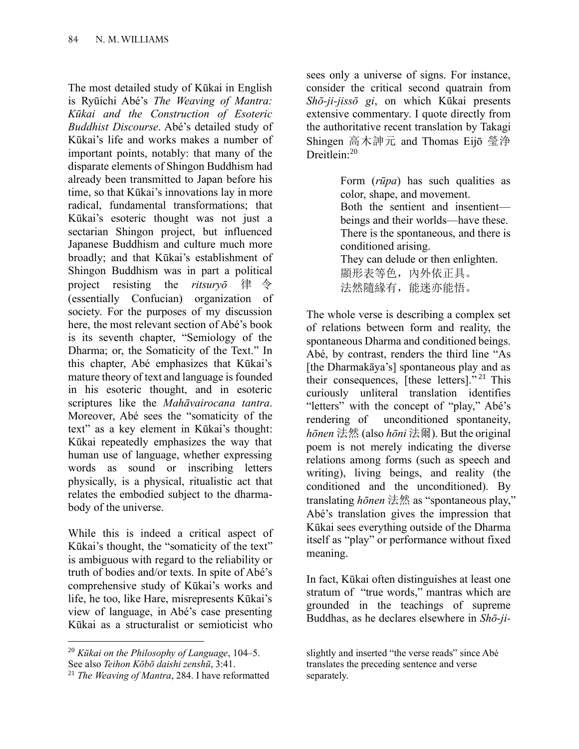The most detailed study of Kūkai in English is Ryūichi Abé's *The Weaving of Mantra: Kūkai and the Construction of Esoteric Buddhist Discourse*. Abé's detailed study of Kūkai's life and works makes a number of important points, notably: that many of the disparate elements of Shingon Buddhism had already been transmitted to Japan before his time, so that Kūkai's innovations lay in more radical, fundamental transformations; that Kūkai's esoteric thought was not just a sectarian Shingon project, but influenced Japanese Buddhism and culture much more broadly; and that Kūkai's establishment of Shingon Buddhism was in part a political project resisting the *ritsuryō* 律 令 (essentially Confucian) organization of society. For the purposes of my discussion here, the most relevant section of Abé's book is its seventh chapter, "Semiology of the Dharma; or, the Somaticity of the Text." In this chapter, Abé emphasizes that Kūkai's mature theory of text and language is founded in his esoteric thought, and in esoteric scriptures like the *Mahāvairocana tantra*. Moreover, Abé sees the "somaticity of the text" as a key element in Kūkai's thought: Kūkai repeatedly emphasizes the way that human use of language, whether expressing words as sound or inscribing letters physically, is a physical, ritualistic act that relates the embodied subject to the dharmabody of the universe.

While this is indeed a critical aspect of Kūkai's thought, the "somaticity of the text" is ambiguous with regard to the reliability or truth of bodies and/or texts. In spite of Abé's comprehensive study of Kūkai's works and life, he too, like Hare, misrepresents Kūkai's view of language, in Abé's case presenting Kūkai as a structuralist or semioticist who

sees only a universe of signs. For instance, consider the critical second quatrain from *Shō-ji-jissō gi*, on which Kūkai presents extensive commentary. I quote directly from the authoritative recent translation by Takagi Shingen 高木訷元 and Thomas Eijō 瑩浄 Dreitlein:<sup>20</sup>

> Form (*rūpa*) has such qualities as color, shape, and movement. Both the sentient and insentient–– beings and their worlds––have these. There is the spontaneous, and there is conditioned arising. They can delude or then enlighten.

顯形表等色, 內外依正具。 法然隋缘有, 能迷亦能悟。

The whole verse is describing a complex set of relations between form and reality, the spontaneous Dharma and conditioned beings. Abé, by contrast, renders the third line "As [the Dharmakāya's] spontaneous play and as their consequences, [these letters]."<sup>21</sup> This curiously unliteral translation identifies "letters" with the concept of "play," Abé's rendering of unconditioned spontaneity, *hōnen* 法然 (also *hōni* 法爾). But the original poem is not merely indicating the diverse relations among forms (such as speech and writing), living beings, and reality (the conditioned and the unconditioned). By translating *hōnen* 法然 as "spontaneous play," Abé's translation gives the impression that Kūkai sees everything outside of the Dharma itself as "play" or performance without fixed meaning.

In fact, Kūkai often distinguishes at least one stratum of "true words," mantras which are grounded in the teachings of supreme Buddhas, as he declares elsewhere in *Shō-ji-*

<sup>20</sup> *Kūkai on the Philosophy of Language*, 104–5. See also *Teihon Kōbō daishi zenshū*, 3:41.

<sup>21</sup> *The Weaving of Mantra*, 284. I have reformatted

slightly and inserted "the verse reads" since Abé translates the preceding sentence and verse separately.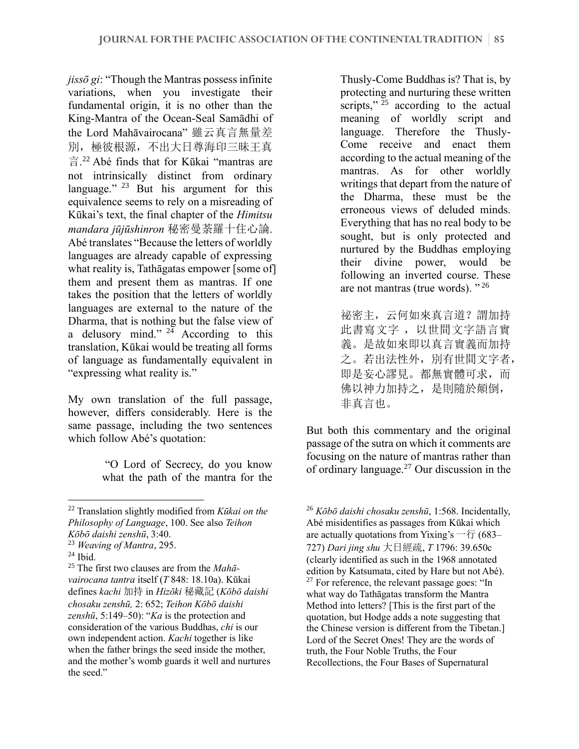*jissō gi*: "Though the Mantras possess infinite variations, when you investigate their fundamental origin, it is no other than the King-Mantra of the Ocean-Seal Samādhi of the Lord Mahāvairocana" 雖云真言無量差 別, 極彼根源, 不出大日尊海印三昧王真 言. 22 Abé finds that for Kūkai "mantras are not intrinsically distinct from ordinary language."<sup>23</sup> But his argument for this equivalence seems to rely on a misreading of Kūkai's text, the final chapter of the *Himitsu mandara jūjūshinron* 秘密曼荼羅十住心論. Abé translates "Because the letters of worldly languages are already capable of expressing what reality is, Tathāgatas empower [some of] them and present them as mantras. If one takes the position that the letters of worldly languages are external to the nature of the Dharma, that is nothing but the false view of a delusory mind."  $24$  According to this translation, Kūkai would be treating all forms of language as fundamentally equivalent in "expressing what reality is."

My own translation of the full passage, however, differs considerably. Here is the same passage, including the two sentences which follow Abé's quotation:

> "O Lord of Secrecy, do you know what the path of the mantra for the

Thusly-Come Buddhas is? That is, by protecting and nurturing these written scripts,"  $25$  according to the actual meaning of worldly script and language. Therefore the Thusly-Come receive and enact them according to the actual meaning of the mantras. As for other worldly writings that depart from the nature of the Dharma, these must be the erroneous views of deluded minds. Everything that has no real body to be sought, but is only protected and nurtured by the Buddhas employing their divine power, would be following an inverted course. These are not mantras (true words). "<sup>26</sup>

祕密主,云何如來真言道?謂加持 此書寫文字 ,以世間文字語言實 義。是故如來即以真言實義而加持 之。若出法性外,別有世間文字者, 即是妄心謬見。都無實體可求,而 佛以神力加持之,是則隨於顛倒, 非真言也。

But both this commentary and the original passage of the sutra on which it comments are focusing on the nature of mantras rather than of ordinary language.<sup>27</sup> Our discussion in the

<sup>22</sup> Translation slightly modified from *Kūkai on the Philosophy of Language*, 100. See also *Teihon Kōbō daishi zenshū*, 3:40.

<sup>23</sup> *Weaving of Mantra*, 295.

 $24$  Ibid.

<sup>25</sup> The first two clauses are from the *Mahāvairocana tantra* itself (*T* 848: 18.10a). Kūkai defines *kachi* 加持 in *Hizōki* 秘藏記 (*Kōbō daishi chosaku zenshū,* 2: 652; *Teihon Kōbō daishi zenshū*, 5:149–50): "*Ka* is the protection and consideration of the various Buddhas, *chi* is our own independent action. *Kachi* together is like when the father brings the seed inside the mother, and the mother's womb guards it well and nurtures the seed."

<sup>26</sup> *Kōbō daishi chosaku zenshū*, 1:568. Incidentally, Abé misidentifies as passages from Kūkai which are actually quotations from Yixing's  $-\hat{\tau}$  (683– 727) *Dari jing shu* 大日經疏, *T* 1796: 39.650c (clearly identified as such in the 1968 annotated edition by Katsumata, cited by Hare but not Abé).  $27$  For reference, the relevant passage goes: "In what way do Tathāgatas transform the Mantra Method into letters? [This is the first part of the quotation, but Hodge adds a note suggesting that the Chinese version is different from the Tibetan.] Lord of the Secret Ones! They are the words of truth, the Four Noble Truths, the Four Recollections, the Four Bases of Supernatural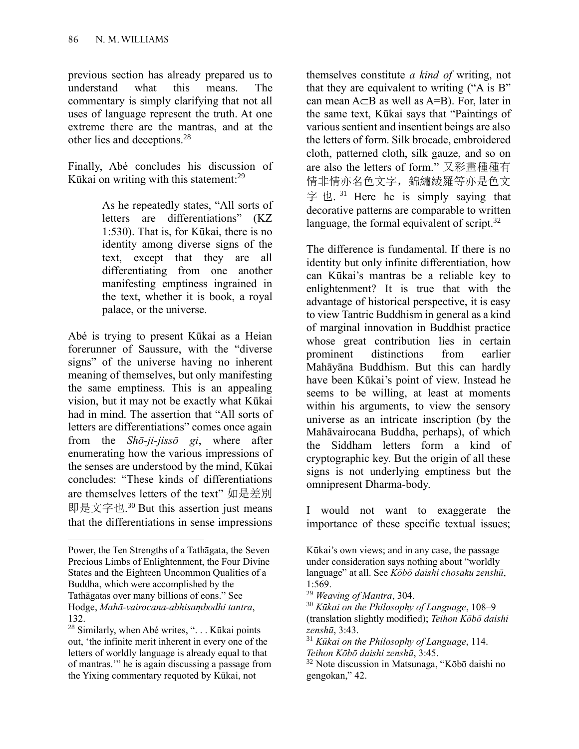previous section has already prepared us to understand what this means. The commentary is simply clarifying that not all uses of language represent the truth. At one extreme there are the mantras, and at the other lies and deceptions.<sup>28</sup>

Finally, Abé concludes his discussion of Kūkai on writing with this statement:<sup>29</sup>

> As he repeatedly states, "All sorts of letters are differentiations" (KZ 1:530). That is, for Kūkai, there is no identity among diverse signs of the text, except that they are all differentiating from one another manifesting emptiness ingrained in the text, whether it is book, a royal palace, or the universe.

Abé is trying to present Kūkai as a Heian forerunner of Saussure, with the "diverse signs" of the universe having no inherent meaning of themselves, but only manifesting the same emptiness. This is an appealing vision, but it may not be exactly what Kūkai had in mind. The assertion that "All sorts of letters are differentiations" comes once again from the *Shō-ji-jissō gi*, where after enumerating how the various impressions of the senses are understood by the mind, Kūkai concludes: "These kinds of differentiations are themselves letters of the text" 如是差別 即是文字也. <sup>30</sup> But this assertion just means that the differentiations in sense impressions

themselves constitute *a kind of* writing, not that they are equivalent to writing ("A is B" can mean  $A \subset B$  as well as  $A = B$ ). For, later in the same text, Kūkai says that "Paintings of various sentient and insentient beings are also the letters of form. Silk brocade, embroidered cloth, patterned cloth, silk gauze, and so on are also the letters of form." 又彩畫種種有 情非情亦名色文字,錦繡綾羅等亦是色文 字也.<sup>31</sup> Here he is simply saying that decorative patterns are comparable to written language, the formal equivalent of script.<sup>32</sup>

The difference is fundamental. If there is no identity but only infinite differentiation, how can Kūkai's mantras be a reliable key to enlightenment? It is true that with the advantage of historical perspective, it is easy to view Tantric Buddhism in general as a kind of marginal innovation in Buddhist practice whose great contribution lies in certain prominent distinctions from earlier Mahāyāna Buddhism. But this can hardly have been Kūkai's point of view. Instead he seems to be willing, at least at moments within his arguments, to view the sensory universe as an intricate inscription (by the Mahāvairocana Buddha, perhaps), of which the Siddham letters form a kind of cryptographic key. But the origin of all these signs is not underlying emptiness but the omnipresent Dharma-body.

I would not want to exaggerate the importance of these specific textual issues;

Power, the Ten Strengths of a Tathāgata, the Seven Precious Limbs of Enlightenment, the Four Divine States and the Eighteen Uncommon Qualities of a Buddha, which were accomplished by the Tathāgatas over many billions of eons." See Hodge, *Mahā-vairocana-abhisaṃbodhi tantra*, 132.

<sup>28</sup> Similarly, when Abé writes, ". . . Kūkai points out, 'the infinite merit inherent in every one of the letters of worldly language is already equal to that of mantras.'" he is again discussing a passage from the Yixing commentary requoted by Kūkai, not

Kūkai's own views; and in any case, the passage under consideration says nothing about "worldly language" at all. See *Kōbō daishi chosaku zenshū*, 1:569.

<sup>29</sup> *Weaving of Mantra*, 304.

<sup>30</sup> *Kūkai on the Philosophy of Language*, 108–9 (translation slightly modified); *Teihon Kōbō daishi zenshū*, 3:43.

<sup>31</sup> *Kūkai on the Philosophy of Language*, 114. *Teihon Kōbō daishi zenshū*, 3:45.

<sup>32</sup> Note discussion in Matsunaga, "Kōbō daishi no gengokan," 42.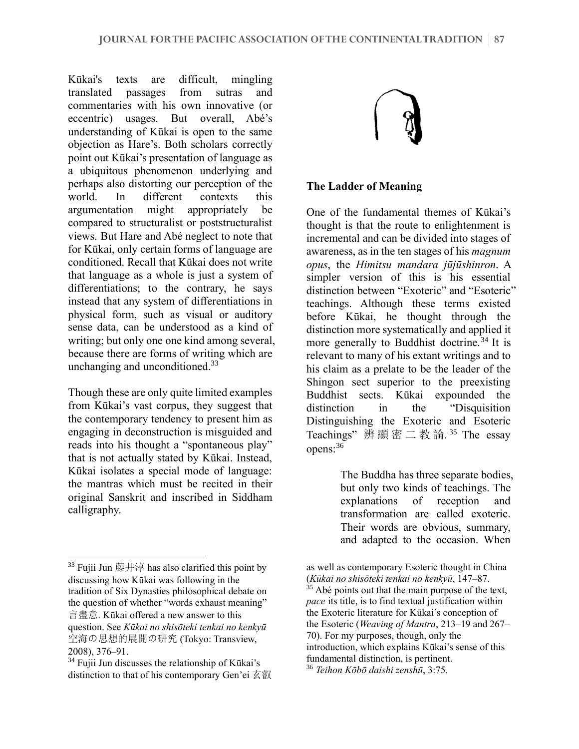Kūkai's texts are difficult, mingling translated passages from sutras and commentaries with his own innovative (or eccentric) usages. But overall, Abé's understanding of Kūkai is open to the same objection as Hare's. Both scholars correctly point out Kūkai's presentation of language as a ubiquitous phenomenon underlying and perhaps also distorting our perception of the world. In different contexts this argumentation might appropriately be compared to structuralist or poststructuralist views. But Hare and Abé neglect to note that for Kūkai, only certain forms of language are conditioned. Recall that Kūkai does not write that language as a whole is just a system of differentiations; to the contrary, he says instead that any system of differentiations in physical form, such as visual or auditory sense data, can be understood as a kind of writing; but only one one kind among several, because there are forms of writing which are unchanging and unconditioned.<sup>33</sup>

Though these are only quite limited examples from Kūkai's vast corpus, they suggest that the contemporary tendency to present him as engaging in deconstruction is misguided and reads into his thought a "spontaneous play" that is not actually stated by Kūkai. Instead, Kūkai isolates a special mode of language: the mantras which must be recited in their original Sanskrit and inscribed in Siddham calligraphy.



#### **The Ladder of Meaning**

One of the fundamental themes of Kūkai's thought is that the route to enlightenment is incremental and can be divided into stages of awareness, as in the ten stages of his *magnum opus*, the *Himitsu mandara jūjūshinron*. A simpler version of this is his essential distinction between "Exoteric" and "Esoteric" teachings. Although these terms existed before Kūkai, he thought through the distinction more systematically and applied it more generally to Buddhist doctrine.<sup>34</sup> It is relevant to many of his extant writings and to his claim as a prelate to be the leader of the Shingon sect superior to the preexisting Buddhist sects. Kūkai expounded the distinction in the "Disquisition Distinguishing the Exoteric and Esoteric Teachings"辨顯密二教論. <sup>35</sup> The essay opens:<sup>36</sup>

> The Buddha has three separate bodies, but only two kinds of teachings. The explanations of reception and transformation are called exoteric. Their words are obvious, summary, and adapted to the occasion. When

 $33$  Fujii Jun 藤井淳 has also clarified this point by discussing how Kūkai was following in the tradition of Six Dynasties philosophical debate on the question of whether "words exhaust meaning" 言盡意. Kūkai offered a new answer to this question. See *Kūkai no shisōteki tenkai no kenkyū* 空海の思想的展開の研究 (Tokyo: Transview, 2008), 376–91.

 $34$  Fujii Jun discusses the relationship of Kūkai's distinction to that of his contemporary Gen'ei 玄叡

as well as contemporary Esoteric thought in China (*Kūkai no shisōteki tenkai no kenkyū*, 147–87.  $35$  Abé points out that the main purpose of the text, *pace* its title, is to find textual justification within the Exoteric literature for Kūkai's conception of the Esoteric (*Weaving of Mantra*, 213–19 and 267– 70). For my purposes, though, only the introduction, which explains Kūkai's sense of this fundamental distinction, is pertinent.

<sup>36</sup> *Teihon Kōbō daishi zenshū*, 3:75.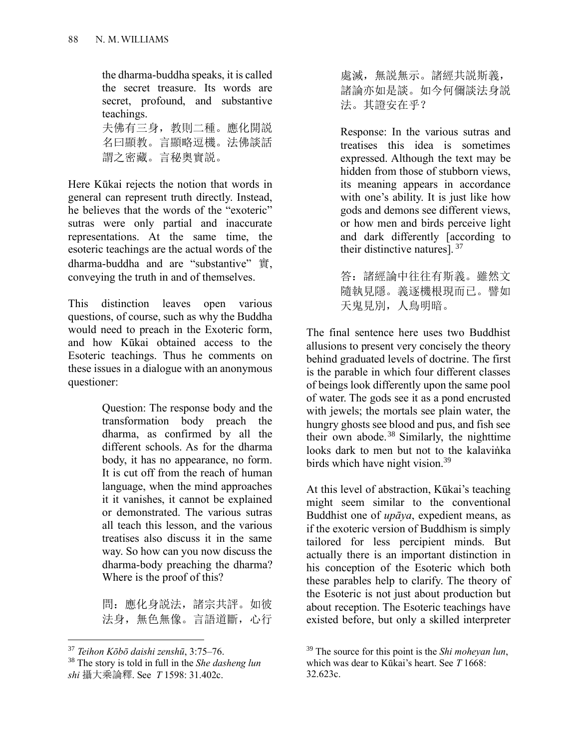the dharma-buddha speaks, it is called the secret treasure. Its words are secret, profound, and substantive teachings. 夫佛有三身,教則二種。應化開説

名曰顯教。言顯略逗機。法佛談話 謂之密藏。言秘奥實説。

Here Kūkai rejects the notion that words in general can represent truth directly. Instead, he believes that the words of the "exoteric" sutras were only partial and inaccurate representations. At the same time, the esoteric teachings are the actual words of the dharma-buddha and are "substantive" 實, conveying the truth in and of themselves.

This distinction leaves open various questions, of course, such as why the Buddha would need to preach in the Exoteric form, and how Kūkai obtained access to the Esoteric teachings. Thus he comments on these issues in a dialogue with an anonymous questioner:

> Question: The response body and the transformation body preach the dharma, as confirmed by all the different schools. As for the dharma body, it has no appearance, no form. It is cut off from the reach of human language, when the mind approaches it it vanishes, it cannot be explained or demonstrated. The various sutras all teach this lesson, and the various treatises also discuss it in the same way. So how can you now discuss the dharma-body preaching the dharma? Where is the proof of this?

問:應化身説法,諸宗共評。如彼 法身, 無色無像。言語道斷, 心行 處滅,無説無示。諸經共説斯義, 諸論亦如是談。如今何儞談法身説 法。其證安在乎?

Response: In the various sutras and treatises this idea is sometimes expressed. Although the text may be hidden from those of stubborn views, its meaning appears in accordance with one's ability. It is just like how gods and demons see different views, or how men and birds perceive light and dark differently [according to their distinctive natures].  $37$ 

答:諸經論中往往有斯義。雖然文 隨執見隱。義逐機根現而已。譬如 天鬼見別,人鳥明暗。

The final sentence here uses two Buddhist allusions to present very concisely the theory behind graduated levels of doctrine. The first is the parable in which four different classes of beings look differently upon the same pool of water. The gods see it as a pond encrusted with jewels; the mortals see plain water, the hungry ghosts see blood and pus, and fish see their own abode.<sup>38</sup> Similarly, the nighttime looks dark to men but not to the kalaviṅka birds which have night vision.<sup>39</sup>

At this level of abstraction, Kūkai's teaching might seem similar to the conventional Buddhist one of *upāya*, expedient means, as if the exoteric version of Buddhism is simply tailored for less percipient minds. But actually there is an important distinction in his conception of the Esoteric which both these parables help to clarify. The theory of the Esoteric is not just about production but about reception. The Esoteric teachings have existed before, but only a skilled interpreter

<sup>37</sup> *Teihon Kōbō daishi zenshū*, 3:75–76.

<sup>38</sup> The story is told in full in the *She dasheng lun shi* 攝大乘論釋. See *T* 1598: 31.402c.

<sup>39</sup> The source for this point is the *Shi moheyan lun*, which was dear to Kūkai's heart. See *T* 1668: 32.623c.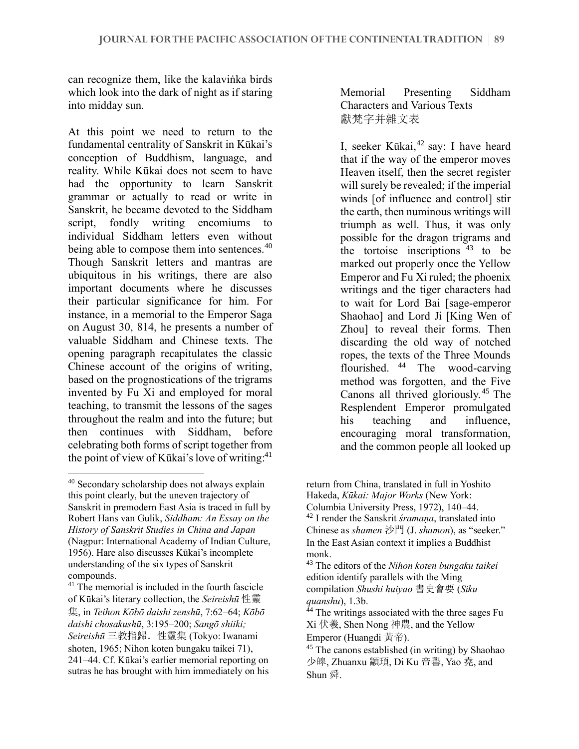can recognize them, like the kalaviṅka birds which look into the dark of night as if staring into midday sun.

At this point we need to return to the fundamental centrality of Sanskrit in Kūkai's conception of Buddhism, language, and reality. While Kūkai does not seem to have had the opportunity to learn Sanskrit grammar or actually to read or write in Sanskrit, he became devoted to the Siddham script, fondly writing encomiums individual Siddham letters even without being able to compose them into sentences.<sup>40</sup> Though Sanskrit letters and mantras are ubiquitous in his writings, there are also important documents where he discusses their particular significance for him. For instance, in a memorial to the Emperor Saga on August 30, 814, he presents a number of valuable Siddham and Chinese texts. The opening paragraph recapitulates the classic Chinese account of the origins of writing, based on the prognostications of the trigrams invented by Fu Xi and employed for moral teaching, to transmit the lessons of the sages throughout the realm and into the future; but then continues with Siddham, before celebrating both forms of script together from the point of view of Kūkai's love of writing:<sup>41</sup>

Memorial Presenting Siddham Characters and Various Texts 獻梵字并雜文表

I, seeker Kūkai,<sup>42</sup> say: I have heard that if the way of the emperor moves Heaven itself, then the secret register will surely be revealed; if the imperial winds [of influence and control] stir the earth, then numinous writings will triumph as well. Thus, it was only possible for the dragon trigrams and the tortoise inscriptions  $43$  to be marked out properly once the Yellow Emperor and Fu Xi ruled; the phoenix writings and the tiger characters had to wait for Lord Bai [sage-emperor Shaohao] and Lord Ji [King Wen of Zhou] to reveal their forms. Then discarding the old way of notched ropes, the texts of the Three Mounds flourished. <sup>44</sup> The wood-carving method was forgotten, and the Five Canons all thrived gloriously.<sup>45</sup> The Resplendent Emperor promulgated his teaching and influence, encouraging moral transformation, and the common people all looked up

<sup>42</sup> I render the Sanskrit *śramaṇa*, translated into Chinese as *shamen* 沙門 (J. *shamon*), as "seeker." In the East Asian context it implies a Buddhist monk.

<sup>40</sup> Secondary scholarship does not always explain this point clearly, but the uneven trajectory of Sanskrit in premodern East Asia is traced in full by Robert Hans van Gulik, *Siddham: An Essay on the History of Sanskrit Studies in China and Japan* (Nagpur: International Academy of Indian Culture, 1956). Hare also discusses Kūkai's incomplete understanding of the six types of Sanskrit compounds.

<sup>&</sup>lt;sup>41</sup> The memorial is included in the fourth fascicle of Kūkai's literary collection, the *Seireishū* 性靈 集, in *Teihon Kōbō daishi zenshū*, 7:62–64; *Kōbō daishi chosakushū*, 3:195–200; *Sangō shiiki; Seireishū* 三教指歸.性靈集 (Tokyo: Iwanami shoten, 1965; Nihon koten bungaku taikei 71), 241–44. Cf. Kūkai's earlier memorial reporting on sutras he has brought with him immediately on his

return from China, translated in full in Yoshito Hakeda, *Kūkai: Major Works* (New York: Columbia University Press, 1972), 140–44.

<sup>43</sup> The editors of the *Nihon koten bungaku taikei*  edition identify parallels with the Ming compilation *Shushi huiyao* 書史會要 (*Siku quanshu*), 1.3b.

<sup>&</sup>lt;sup>44</sup> The writings associated with the three sages Fu Xi 伏羲, Shen Nong 神農, and the Yellow Emperor (Huangdi 黃帝).

<sup>&</sup>lt;sup>45</sup> The canons established (in writing) by Shaohao 少皞, Zhuanxu 顓頊, Di Ku 帝嚳, Yao 堯, and Shun 舜.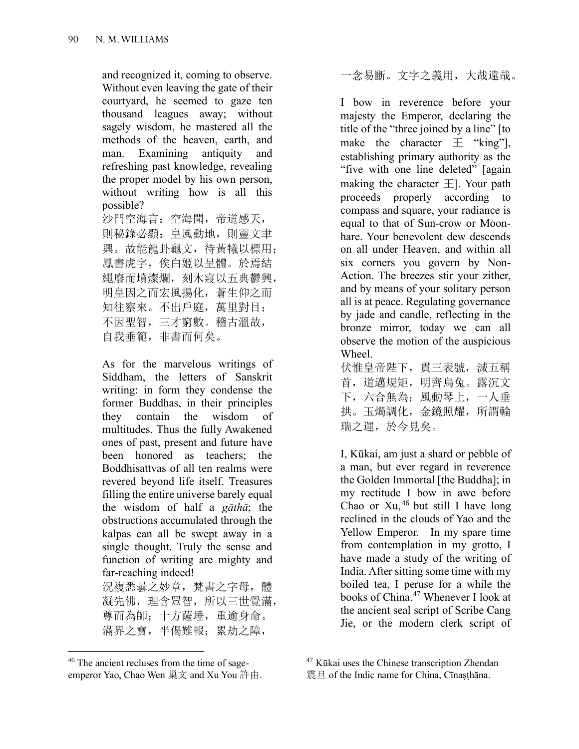and recognized it, coming to observe. Without even leaving the gate of their courtyard, he seemed to gaze ten thousand leagues away; without sagely wisdom, he mastered all the methods of the heaven, earth, and man. Examining antiquity and refreshing past knowledge, revealing the proper model by his own person, without writing how is all this possible?

沙門空海言:空海聞,帝道感天, 則秘錄必顯;皇風動地,則靈文聿 興。故能龍卦龜文,待黃犧以標用; 鳳書虎字,俟白姬以呈體。於焉結 繩廢而墳燦爛,刻木寢以五典鬱興, 明皇因之而宏風揚化,蒼生仰之而 知往察來。不出戶庭,萬里對目; 不因聖智,三才窮數。稽古溫故, 自我垂範,非書而何矣。

As for the marvelous writings of Siddham, the letters of Sanskrit writing: in form they condense the former Buddhas, in their principles they contain the wisdom of multitudes. Thus the fully Awakened ones of past, present and future have been honored as teachers; the Boddhisattvas of all ten realms were revered beyond life itself. Treasures filling the entire universe barely equal the wisdom of half a *gāthā*; the obstructions accumulated through the kalpas can all be swept away in a single thought. Truly the sense and function of writing are mighty and far-reaching indeed!

況複悉曇之妙章, 梵書之字母, 體 凝先佛,理含眾智,所以三世覺滿, 尊而為師;十方薩埵,重逾身命。 滿界之寶,半偈難報;累劫之障,

一念易斷。文字之義用,大哉遠哉。

I bow in reverence before your majesty the Emperor, declaring the title of the "three joined by a line" [to make the character  $\pm$  "king"], establishing primary authority as the "five with one line deleted" [again making the character  $\pm$ ]. Your path proceeds properly according to compass and square, your radiance is equal to that of Sun-crow or Moonhare. Your benevolent dew descends on all under Heaven, and within all six corners you govern by Non-Action. The breezes stir your zither, and by means of your solitary person all is at peace. Regulating governance by jade and candle, reflecting in the bronze mirror, today we can all observe the motion of the auspicious Wheel.

伏惟皇帝陛下,貫三表號,減五稱 首,道邁規矩,明齊烏兔。 露沉文 下,六合無為;風動琴上,一人垂 拱。玉燭調化,金鏡照耀,所謂輪 瑞之運,於今見矣。

I, Kūkai, am just a shard or pebble of a man, but ever regard in reverence the Golden Immortal [the Buddha]; in my rectitude I bow in awe before Chao or  $Xu,$ <sup>46</sup> but still I have long reclined in the clouds of Yao and the Yellow Emperor. In my spare time from contemplation in my grotto, I have made a study of the writing of India. After sitting some time with my boiled tea, I peruse for a while the books of China.<sup>47</sup> Whenever I look at the ancient seal script of Scribe Cang Jie, or the modern clerk script of

<sup>46</sup> The ancient recluses from the time of sageemperor Yao, Chao Wen 巢文 and Xu You 許由.

<sup>47</sup> Kūkai uses the Chinese transcription Zhendan

震旦 of the Indic name for China, Cīnasthāna.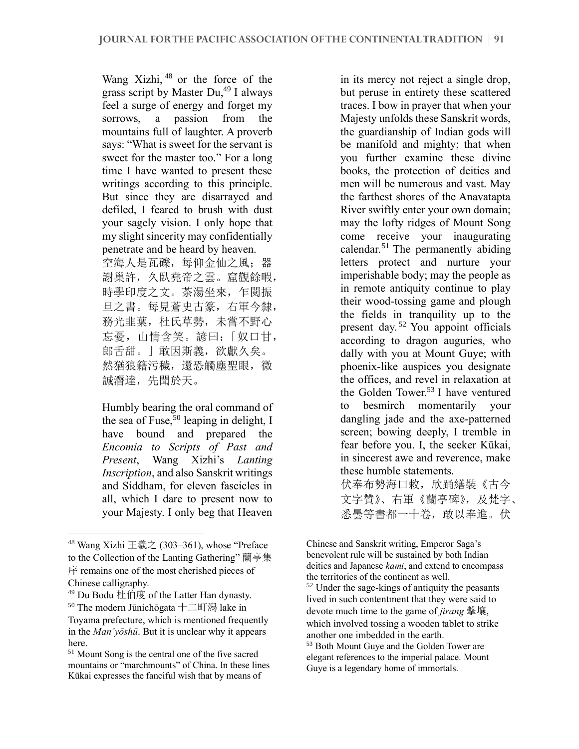Wang Xizhi, <sup>48</sup> or the force of the grass script by Master Du,<sup>49</sup> I always feel a surge of energy and forget my sorrows, a passion from the mountains full of laughter. A proverb says: "What is sweet for the servant is sweet for the master too." For a long time I have wanted to present these writings according to this principle. But since they are disarrayed and defiled, I feared to brush with dust your sagely vision. I only hope that my slight sincerity may confidentially penetrate and be heard by heaven. 空海人是瓦礫,每仰金仙之風;器 謝巢許,久臥堯帝之雲。窟觀餘暇, 時學印度之文。茶湯坐來,乍閱振 旦之書。每見蒼史古篆,右軍今隸, 務光韭葉,杜氏草勢,未嘗不野心 忘憂,山情含笑。諺曰:「奴口甘, 郎舌甜。」敢因斯義,欲獻久矣。 然猶狼籍污穢,還恐觸塵聖眼,微 誠潛達, 先聞於天。

Humbly bearing the oral command of the sea of Fuse,  $50$  leaping in delight, I have bound and prepared the *Encomia to Scripts of Past and Present*, Wang Xizhi's *Lanting Inscription*, and also Sanskrit writings and Siddham, for eleven fascicles in all, which I dare to present now to your Majesty. I only beg that Heaven

in its mercy not reject a single drop, but peruse in entirety these scattered traces. I bow in prayer that when your Majesty unfolds these Sanskrit words, the guardianship of Indian gods will be manifold and mighty; that when you further examine these divine books, the protection of deities and men will be numerous and vast. May the farthest shores of the Anavatapta River swiftly enter your own domain; may the lofty ridges of Mount Song come receive your inaugurating calendar.<sup>51</sup> The permanently abiding letters protect and nurture your imperishable body; may the people as in remote antiquity continue to play their wood-tossing game and plough the fields in tranquility up to the present day.<sup>52</sup> You appoint officials according to dragon auguries, who dally with you at Mount Guye; with phoenix-like auspices you designate the offices, and revel in relaxation at the Golden Tower.<sup>53</sup> I have ventured to besmirch momentarily your dangling jade and the axe-patterned screen; bowing deeply, I tremble in fear before you. I, the seeker Kūkai, in sincerest awe and reverence, make these humble statements.

伏奉布勢海口敕,欣踊繕裝《古今 文字贊》、右軍《蘭亭碑》,及梵字、 悉曇等書都一十卷,敢以奉進。伏

 $48$  Wang Xizhi 王羲之 (303-361), whose "Preface to the Collection of the Lanting Gathering" 蘭亭集

序 remains one of the most cherished pieces of Chinese calligraphy.

<sup>49</sup> Du Bodu 杜伯度 of the Latter Han dynasty.

<sup>50</sup> The modern Jūnichōgata 十二町潟 lake in Toyama prefecture, which is mentioned frequently in the *Man'yōshū*. But it is unclear why it appears here.

<sup>51</sup> Mount Song is the central one of the five sacred mountains or "marchmounts" of China. In these lines Kūkai expresses the fanciful wish that by means of

Chinese and Sanskrit writing, Emperor Saga's benevolent rule will be sustained by both Indian deities and Japanese *kami*, and extend to encompass the territories of the continent as well.

<sup>52</sup> Under the sage-kings of antiquity the peasants lived in such contentment that they were said to devote much time to the game of *jirang* 擊壤, which involved tossing a wooden tablet to strike another one imbedded in the earth.

<sup>53</sup> Both Mount Guye and the Golden Tower are elegant references to the imperial palace. Mount Guye is a legendary home of immortals.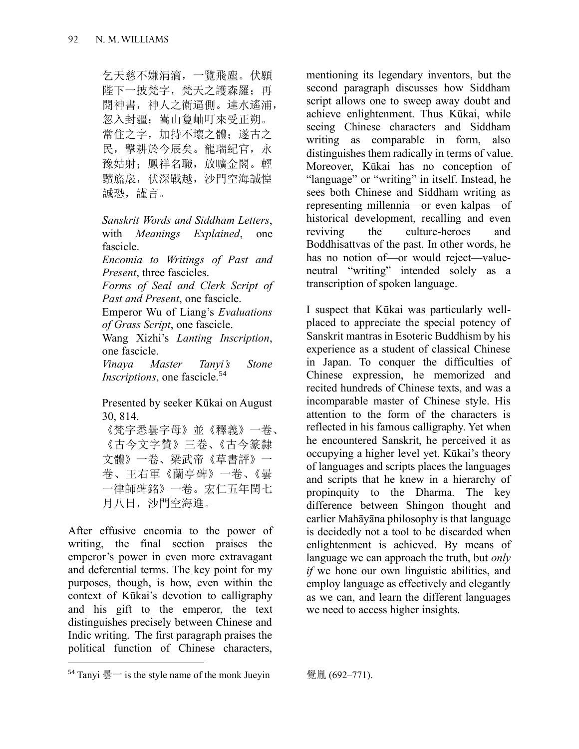乞天慈不嫌涓滴,一覽飛塵。伏願 陛下一披梵字,梵天之護森羅;再 閱神書,神人之衛逼側。達水遙浦, 忽入封疆;嵩山夐岫叮來受正朔。 常住之字,加持不壞之體;遂古之 民,擊耕於今辰矣。龍瑞紀官,永 豫姑射;鳳祥名職,放曠金閣。輕 黷旒扆,伏深戰越,沙門空海誠惶 誠恐, 謹言。

*Sanskrit Words and Siddham Letters*, with *Meanings Explained*, one fascicle.

*Encomia to Writings of Past and Present*, three fascicles.

*Forms of Seal and Clerk Script of Past and Present*, one fascicle.

Emperor Wu of Liang's *Evaluations of Grass Script*, one fascicle.

Wang Xizhi's *Lanting Inscription*, one fascicle.

*Vinaya Master Tanyi's Stone Inscriptions*, one fascicle.<sup>54</sup>

Presented by seeker Kūkai on August 30, 814.

《梵字悉曇字母》並《釋義》一卷、 《古今文字贊》三卷、《古今篆隸 文體》一卷、梁武帝《草書評》一 卷、王右軍《蘭亭碑》一卷、《曇 一律師碑銘》一卷。宏仁五年閏七 月八日,沙門空海進。

After effusive encomia to the power of writing, the final section praises the emperor's power in even more extravagant and deferential terms. The key point for my purposes, though, is how, even within the context of Kūkai's devotion to calligraphy and his gift to the emperor, the text distinguishes precisely between Chinese and Indic writing. The first paragraph praises the political function of Chinese characters,

mentioning its legendary inventors, but the second paragraph discusses how Siddham script allows one to sweep away doubt and achieve enlightenment. Thus Kūkai, while seeing Chinese characters and Siddham writing as comparable in form, also distinguishes them radically in terms of value. Moreover, Kūkai has no conception of "language" or "writing" in itself. Instead, he sees both Chinese and Siddham writing as representing millennia—or even kalpas—of historical development, recalling and even reviving the culture-heroes and Boddhisattvas of the past. In other words, he has no notion of—or would reject—valueneutral "writing" intended solely as a transcription of spoken language.

I suspect that Kūkai was particularly wellplaced to appreciate the special potency of Sanskrit mantras in Esoteric Buddhism by his experience as a student of classical Chinese in Japan. To conquer the difficulties of Chinese expression, he memorized and recited hundreds of Chinese texts, and was a incomparable master of Chinese style. His attention to the form of the characters is reflected in his famous calligraphy. Yet when he encountered Sanskrit, he perceived it as occupying a higher level yet. Kūkai's theory of languages and scripts places the languages and scripts that he knew in a hierarchy of propinquity to the Dharma. The key difference between Shingon thought and earlier Mahāyāna philosophy is that language is decidedly not a tool to be discarded when enlightenment is achieved. By means of language we can approach the truth, but *only if* we hone our own linguistic abilities, and employ language as effectively and elegantly as we can, and learn the different languages we need to access higher insights.

<sup>&</sup>lt;sup>54</sup> Tanyi 曇一 is the style name of the monk Jueyin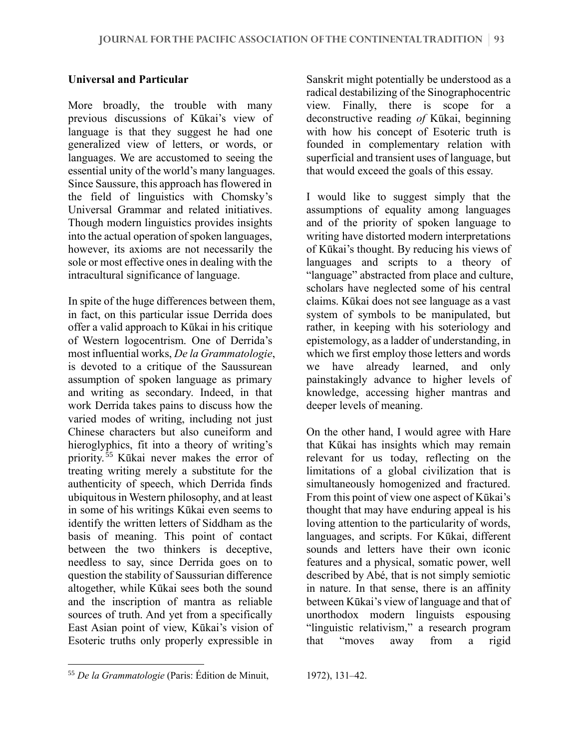## **Universal and Particular**

More broadly, the trouble with many previous discussions of Kūkai's view of language is that they suggest he had one generalized view of letters, or words, or languages. We are accustomed to seeing the essential unity of the world's many languages. Since Saussure, this approach has flowered in the field of linguistics with Chomsky's Universal Grammar and related initiatives. Though modern linguistics provides insights into the actual operation of spoken languages, however, its axioms are not necessarily the sole or most effective ones in dealing with the intracultural significance of language.

In spite of the huge differences between them, in fact, on this particular issue Derrida does offer a valid approach to Kūkai in his critique of Western logocentrism. One of Derrida's most influential works, *De la Grammatologie*, is devoted to a critique of the Saussurean assumption of spoken language as primary and writing as secondary. Indeed, in that work Derrida takes pains to discuss how the varied modes of writing, including not just Chinese characters but also cuneiform and hieroglyphics, fit into a theory of writing's priority. 55 Kūkai never makes the error of treating writing merely a substitute for the authenticity of speech, which Derrida finds ubiquitous in Western philosophy, and at least in some of his writings Kūkai even seems to identify the written letters of Siddham as the basis of meaning. This point of contact between the two thinkers is deceptive, needless to say, since Derrida goes on to question the stability of Saussurian difference altogether, while Kūkai sees both the sound and the inscription of mantra as reliable sources of truth. And yet from a specifically East Asian point of view, Kūkai's vision of Esoteric truths only properly expressible in

Sanskrit might potentially be understood as a radical destabilizing of the Sinographocentric view. Finally, there is scope for a deconstructive reading *of* Kūkai, beginning with how his concept of Esoteric truth is founded in complementary relation with superficial and transient uses of language, but that would exceed the goals of this essay.

I would like to suggest simply that the assumptions of equality among languages and of the priority of spoken language to writing have distorted modern interpretations of Kūkai's thought. By reducing his views of languages and scripts to a theory of "language" abstracted from place and culture, scholars have neglected some of his central claims. Kūkai does not see language as a vast system of symbols to be manipulated, but rather, in keeping with his soteriology and epistemology, as a ladder of understanding, in which we first employ those letters and words we have already learned, and only painstakingly advance to higher levels of knowledge, accessing higher mantras and deeper levels of meaning.

On the other hand, I would agree with Hare that Kūkai has insights which may remain relevant for us today, reflecting on the limitations of a global civilization that is simultaneously homogenized and fractured. From this point of view one aspect of Kūkai's thought that may have enduring appeal is his loving attention to the particularity of words, languages, and scripts. For Kūkai, different sounds and letters have their own iconic features and a physical, somatic power, well described by Abé, that is not simply semiotic in nature. In that sense, there is an affinity between Kūkai's view of language and that of unorthodox modern linguists espousing "linguistic relativism," a research program that "moves away from a rigid

<sup>55</sup> *De la Grammatologie* (Paris: Édition de Minuit,